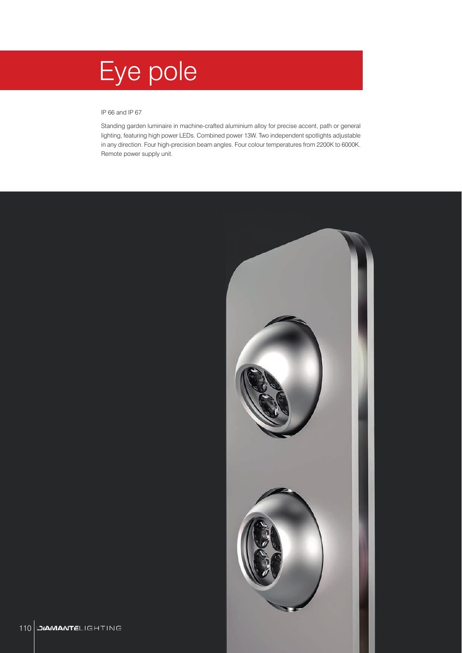# Eye pole

### IP 66 and IP 67

Standing garden luminaire in machine-crafted aluminium alloy for precise accent, path or general lighting, featuring high power LEDs. Combined power 13W. Two independent spotlights adjustable in any direction. Four high-precision beam angles. Four colour temperatures from 2200K to 6000K. Remote power supply unit.